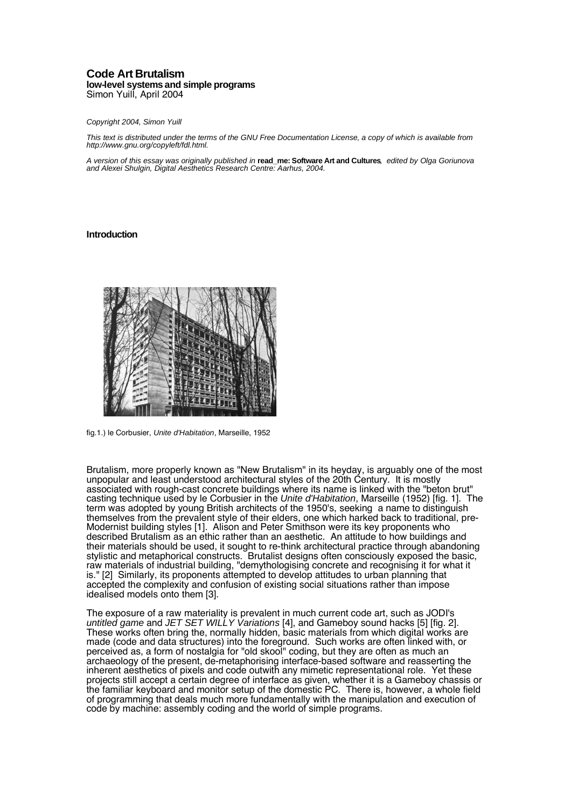## **Code Art Brutalism low-level systemsand simple programs** Simon Yuill, April 2004

#### Copyright 2004, Simon Yuill

This text is distributed under the terms of the GNU Free Documentation License, a copy of which is available from http://www.gnu.org/copyleft/fdl.html.

A version of this essay was originally published in **read\_me: Software Art and Cultures**, edited by Olga Goriunova and Alexei Shulgin, Digital Aesthetics Research Centre: Aarhus, 2004.

### **Introduction**



fig.1.) le Corbusier, Unite d'Habitation, Marseille, 1952

Brutalism, more properly known as "New Brutalism" in its heyday, is arguably one of the most unpopular and least understood architectural styles of the 20th Century. It is mostly associated with rough-cast concrete buildings where its name is linked with the "beton brut" casting technique used by le Corbusier in the Unite d'Habitation, Marseille (1952) [fig. 1]. The term was adopted by young British architects of the 1950's, seeking a name to distinguish themselves from the prevalent style of their elders, one which harked back to traditional, pre-Modernist building styles [1]. Alison and Peter Smithson were its key proponents who described Brutalism as an ethic rather than an aesthetic. An attitude to how buildings and their materials should be used, it sought to re-think architectural practice through abandoning stylistic and metaphorical constructs. Brutalist designs often consciously exposed the basic, raw materials of industrial building, "demythologising concrete and recognising it for what it is." [2] Similarly, its proponents attempted to develop attitudes to urban planning that accepted the complexity and confusion of existing social situations rather than impose idealised models onto them [3].

The exposure of a raw materiality is prevalent in much current code art, such as JODI's untitled game and JET SET WILLY Variations [4], and Gameboy sound hacks [5] [fig. 2]. These works often bring the, normally hidden, basic materials from which digital works are made (code and data structures) into the foreground. Such works are often linked with, or perceived as, a form of nostalgia for "old skool" coding, but they are often as much an archaeology of the present, de-metaphorising interface-based software and reasserting the inherent aesthetics of pixels and code outwith any mimetic representational role. Yet these projects still accept a certain degree of interface as given, whether it is a Gameboy chassis or the familiar keyboard and monitor setup of the domestic PC. There is, however, a whole field of programming that deals much more fundamentally with the manipulation and execution of code by machine: assembly coding and the world of simple programs.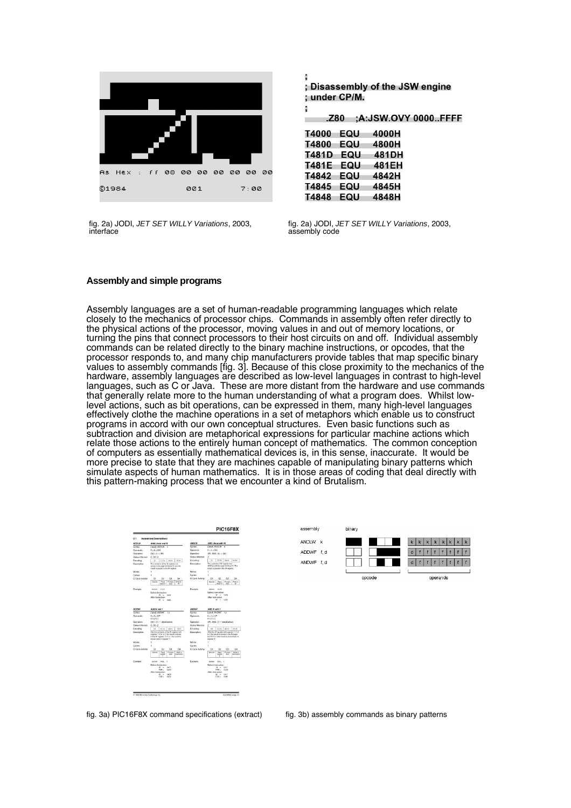

fig. 2a) JODI, JET SET WILLY Variations, 2003, interface

: Disassembly of the JSW engine ; under CP/M.

| T4000 | EQU | 4000H |
|-------|-----|-------|
| T4800 | EQU | 4800H |
| T481D | EQU | 481DH |
| T481E | EQU | 481EH |
| T4842 | EQU | 4842H |
| T4845 | EQU | 4845H |
| T4848 | EQU | 4848H |

t

t

fig. 2a) JODI, JET SET WILLY Variations, 2003, assembly code

## **Assemblyand simple programs**

Assembly languages are a set of human-readable programming languages which relate closely to the mechanics of processor chips. Commands in assembly often refer directly to the physical actions of the processor, moving values in and out of memory locations, or turning the pins that connect processors to their host circuits on and off. Individual assembly commands can be related directly to the binary machine instructions, or opcodes, that the processor responds to, and many chip manufacturers provide tables that map specific binary values to assembly commands [fig. 3]. Because of this close proximity to the mechanics of the hardware, assembly languages are described as low-level languages in contrast to high-level languages, such as C or Java. These are more distant from the hardware and use commands that generally relate more to the human understanding of what a program does. Whilst lowlevel actions, such as bit operations, can be expressed in them, many high-level languages effectively clothe the machine operations in a set of metaphors which enable us to construct programs in accord with our own conceptual structures. Even basic functions such as subtraction and division are metaphorical expressions for particular machine actions which relate those actions to the entirely human concept of mathematics. The common conception of computers as essentially mathematical devices is, in this sense, inaccurate. It would be more precise to state that they are machines capable of manipulating binary patterns which simulate aspects of human mathematics. It is in those areas of coding that deal directly with this pattern-making process that we encounter a kind of Brutalism.





fig. 3a) PIC16F8X command specifications (extract) fig. 3b) assembly commands as binary patterns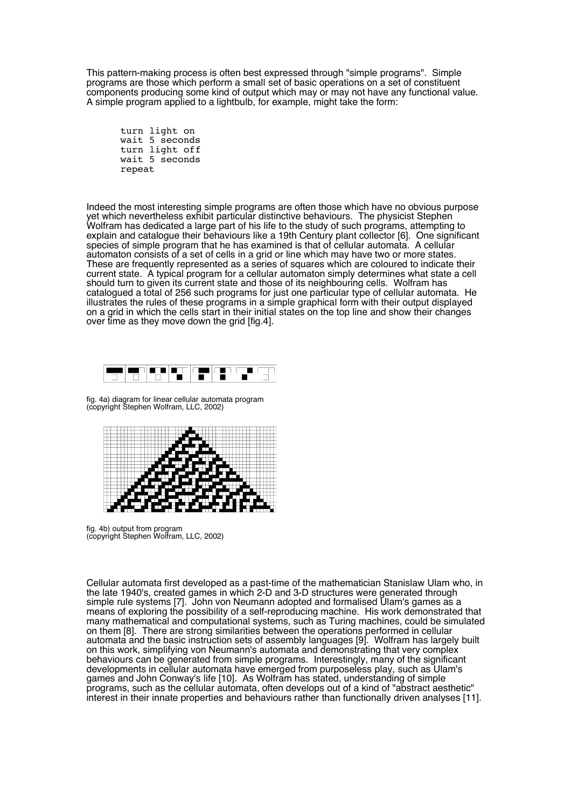This pattern-making process is often best expressed through "simple programs". Simple programs are those which perform a small set of basic operations on a set of constituent components producing some kind of output which may or may not have any functional value. A simple program applied to a lightbulb, for example, might take the form:

turn light on wait 5 seconds turn light off wait 5 seconds repeat

Indeed the most interesting simple programs are often those which have no obvious purpose yet which nevertheless exhibit particular distinctive behaviours. The physicist Stephen Wolfram has dedicated a large part of his life to the study of such programs, attempting to explain and catalogue their behaviours like a 19th Century plant collector [6]. One significant species of simple program that he has examined is that of cellular automata. A cellular automaton consists of a set of cells in a grid or line which may have two or more states. These are frequently represented as a series of squares which are coloured to indicate their current state. A typical program for a cellular automaton simply determines what state a cell should turn to given its current state and those of its neighbouring cells. Wolfram has catalogued a total of 256 such programs for just one particular type of cellular automata. He illustrates the rules of these programs in a simple graphical form with their output displayed on a grid in which the cells start in their initial states on the top line and show their changes over time as they move down the grid [fig.4].



fig. 4a) diagram for linear cellular automata program (copyright Stephen Wolfram, LLC, 2002)



fig. 4b) output from program (copyright Stephen Wolfram, LLC, 2002)

Cellular automata first developed as a past-time of the mathematician Stanislaw Ulam who, in the late 1940's, created games in which 2-D and 3-D structures were generated through simple rule systems [7]. John von Neumann adopted and formalised Ulam's games as a means of exploring the possibility of a self-reproducing machine. His work demonstrated that many mathematical and computational systems, such as Turing machines, could be simulated on them [8]. There are strong similarities between the operations performed in cellular automata and the basic instruction sets of assembly languages [9]. Wolfram has largely built on this work, simplifying von Neumann's automata and demonstrating that very complex behaviours can be generated from simple programs. Interestingly, many of the significant developments in cellular automata have emerged from purposeless play, such as Ulam's games and John Conway's life [10]. As Wolfram has stated, understanding of simple programs, such as the cellular automata, often develops out of a kind of "abstract aesthetic" interest in their innate properties and behaviours rather than functionally driven analyses [11].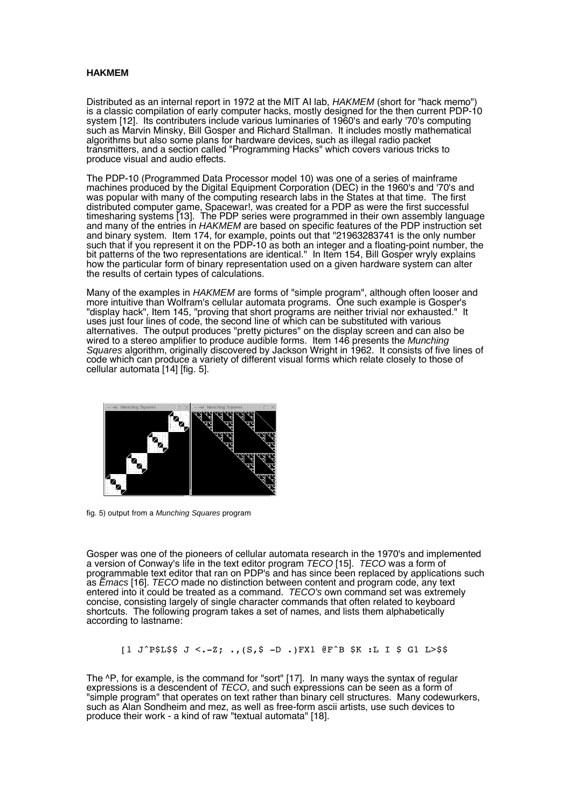## **HAKMEM**

Distributed as an internal report in 1972 at the MIT AI lab, HAKMEM (short for "hack memo") is a classic compilation of early computer hacks, mostly designed for the then current PDP-10 system [12]. Its contributers include various luminaries of 1960's and early '70's computing such as Marvin Minsky, Bill Gosper and Richard Stallman. It includes mostly mathematical algorithms but also some plans for hardware devices, such as illegal radio packet transmitters, and a section called "Programming Hacks" which covers various tricks to produce visual and audio effects.

The PDP-10 (Programmed Data Processor model 10) was one of a series of mainframe machines produced by the Digital Equipment Corporation (DEC) in the 1960's and '70's and was popular with many of the computing research labs in the States at that time. The first distributed computer game, Spacewar!, was created for a PDP as were the first successful timesharing systems [13]. The PDP series were programmed in their own assembly language and many of the entries in HAKMEM are based on specific features of the PDP instruction set and binary system. Item 174, for example, points out that "21963283741 is the only number such that if you represent it on the PDP-10 as both an integer and a floating-point number, the bit patterns of the two representations are identical." In Item 154, Bill Gosper wryly explains how the particular form of binary representation used on a given hardware system can alter the results of certain types of calculations.

Many of the examples in HAKMEM are forms of "simple program", although often looser and more intuitive than Wolfram's cellular automata programs. One such example is Gosper's "display hack", Item 145, "proving that short programs are neither trivial nor exhausted." It uses just four lines of code, the second line of which can be substituted with various alternatives. The output produces "pretty pictures" on the display screen and can also be wired to a stereo amplifier to produce audible forms. Item 146 presents the Munching Squares algorithm, originally discovered by Jackson Wright in 1962. It consists of five lines of code which can produce a variety of different visual forms which relate closely to those of cellular automata [14] [fig. 5].



fig. 5) output from a Munching Squares program

Gosper was one of the pioneers of cellular automata research in the 1970's and implemented a version of Conway's life in the text editor program TECO [15]. TECO was a form of programmable text editor that ran on PDP's and has since been replaced by applications such as Emacs [16]. TECO made no distinction between content and program code, any text entered into it could be treated as a command. TECO's own command set was extremely concise, consisting largely of single character commands that often related to keyboard shortcuts. The following program takes a set of names, and lists them alphabetically according to lastname:

 $[1 J^{\circ}P$L$$ J < -Z;$ ,  $( S, \$ -D .) FX1 \text{ (}F^{\circ}B $K : L I $ G1 L > $$ 

The ^P, for example, is the command for "sort" [17]. In many ways the syntax of regular expressions is a descendent of TECO, and such expressions can be seen as a form of "simple program" that operates on text rather than binary cell structures. Many codewurkers, such as Alan Sondheim and mez, as well as free-form ascii artists, use such devices to produce their work - a kind of raw "textual automata" [18].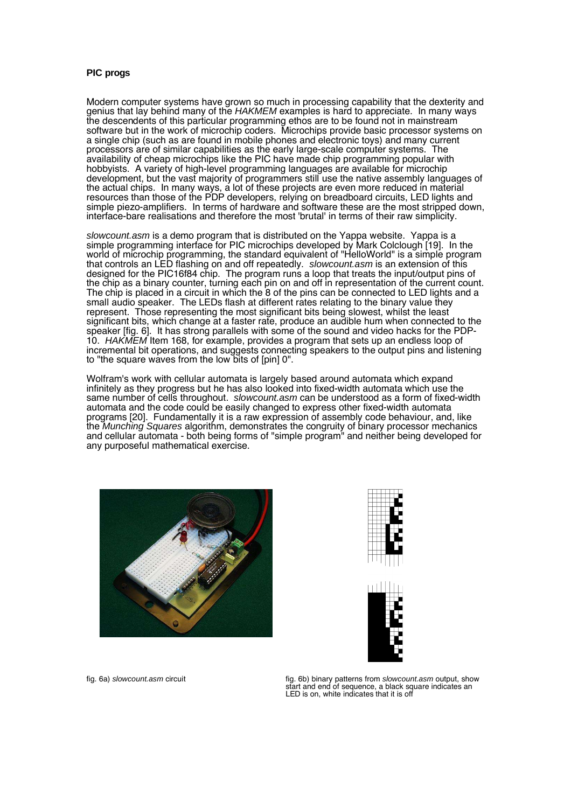## **PIC progs**

Modern computer systems have grown so much in processing capability that the dexterity and genius that lay behind many of the HAKMEM examples is hard to appreciate. In many ways the descendents of this particular programming ethos are to be found not in mainstream software but in the work of microchip coders. Microchips provide basic processor systems on a single chip (such as are found in mobile phones and electronic toys) and many current processors are of similar capabilities as the early large-scale computer systems. The availability of cheap microchips like the PIC have made chip programming popular with hobbyists. A variety of high-level programming languages are available for microchip development, but the vast majority of programmers still use the native assembly languages of the actual chips. In many ways, a lot of these projects are even more reduced in material resources than those of the PDP developers, relying on breadboard circuits, LED lights and simple piezo-amplifiers. In terms of hardware and software these are the most stripped down, interface-bare realisations and therefore the most 'brutal' in terms of their raw simplicity.

slowcount.asm is a demo program that is distributed on the Yappa website. Yappa is a simple programming interface for PIC microchips developed by Mark Colclough [19]. In the world of microchip programming, the standard equivalent of "HelloWorld" is a simple program that controls an LED flashing on and off repeatedly. *slowcount.asm* is an extension of this designed for the PIC16f84 chip. The program runs a loop that treats the input/output pins of the chip as a binary counter, turning each pin on and off in representation of the current count. The chip is placed in a circuit in which the 8 of the pins can be connected to LED lights and a small audio speaker. The LEDs flash at different rates relating to the binary value they represent. Those representing the most significant bits being slowest, whilst the least significant bits, which change at a faster rate, produce an audible hum when connected to the speaker [fig. 6]. It has strong parallels with some of the sound and video hacks for the PDP-10. HAKMEM Item 168, for example, provides a program that sets up an endless loop of incremental bit operations, and suggests connecting speakers to the output pins and listening to "the square waves from the low bits of [pin] 0".

Wolfram's work with cellular automata is largely based around automata which expand infinitely as they progress but he has also looked into fixed-width automata which use the same number of cells throughout. *slowcount.asm* can be understood as a form of fixed-width automata and the code could be easily changed to express other fixed-width automata programs [20]. Fundamentally it is a raw expression of assembly code behaviour, and, like the *Munching Squares* algorithm, demonstrates the congruity of binary processor mechanics and cellular automata - both being forms of "simple program" and neither being developed for any purposeful mathematical exercise.







fig. 6a) slowcount.asm circuit fig. 6b) binary patterns from slowcount.asm output, show start and end of sequence, a black square indicates an LED is on, white indicates that it is off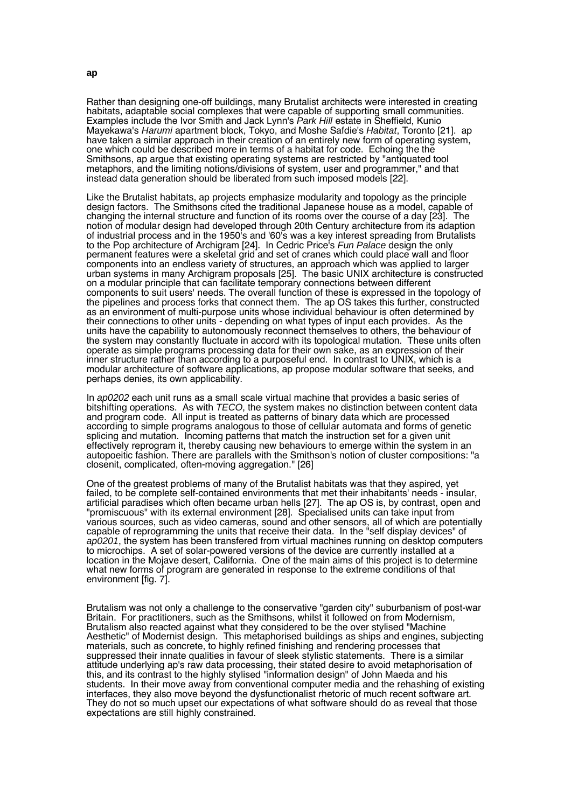Rather than designing one-off buildings, many Brutalist architects were interested in creating habitats, adaptable social complexes that were capable of supporting small communities. Examples include the Ivor Smith and Jack Lynn's *Park Hill* estate in Sheffield, Kunio Mayekawa's Harumi apartment block, Tokyo, and Moshe Safdie's Habitat, Toronto [21]. ap have taken a similar approach in their creation of an entirely new form of operating system, one which could be described more in terms of a habitat for code. Echoing the the Smithsons, ap argue that existing operating systems are restricted by "antiquated tool metaphors, and the limiting notions/divisions of system, user and programmer," and that instead data generation should be liberated from such imposed models [22].

Like the Brutalist habitats, ap projects emphasize modularity and topology as the principle design factors. The Smithsons cited the traditional Japanese house as a model, capable of changing the internal structure and function of its rooms over the course of a day [23]. The notion of modular design had developed through 20th Century architecture from its adaption of industrial process and in the 1950's and '60's was a key interest spreading from Brutalists to the Pop architecture of Archigram [24]. In Cedric Price's Fun Palace design the only permanent features were a skeletal grid and set of cranes which could place wall and floor components into an endless variety of structures, an approach which was applied to larger urban systems in many Archigram proposals [25]. The basic UNIX architecture is constructed on a modular principle that can facilitate temporary connections between different components to suit users' needs. The overall function of these is expressed in the topology of the pipelines and process forks that connect them. The ap OS takes this further, constructed as an environment of multi-purpose units whose individual behaviour is often determined by their connections to other units - depending on what types of input each provides. As the units have the capability to autonomously reconnect themselves to others, the behaviour of the system may constantly fluctuate in accord with its topological mutation. These units often operate as simple programs processing data for their own sake, as an expression of their inner structure rather than according to a purposeful end. In contrast to UNIX, which is a modular architecture of software applications, ap propose modular software that seeks, and perhaps denies, its own applicability.

In ap0202 each unit runs as a small scale virtual machine that provides a basic series of bitshifting operations. As with TECO, the system makes no distinction between content data and program code. All input is treated as patterns of binary data which are processed according to simple programs analogous to those of cellular automata and forms of genetic splicing and mutation. Incoming patterns that match the instruction set for a given unit effectively reprogram it, thereby causing new behaviours to emerge within the system in an autopoeitic fashion. There are parallels with the Smithson's notion of cluster compositions: "a closenit, complicated, often-moving aggregation." [26]

One of the greatest problems of many of the Brutalist habitats was that they aspired, yet failed, to be complete self-contained environments that met their inhabitants' needs - insular, artificial paradises which often became urban hells [27]. The ap OS is, by contrast, open and "promiscuous" with its external environment [28]. Specialised units can take input from various sources, such as video cameras, sound and other sensors, all of which are potentially capable of reprogramming the units that receive their data. In the "self display devices" of ap0201, the system has been transfered from virtual machines running on desktop computers to microchips. A set of solar-powered versions of the device are currently installed at a location in the Mojave desert, California. One of the main aims of this project is to determine what new forms of program are generated in response to the extreme conditions of that environment [fig. 7].

Brutalism was not only a challenge to the conservative "garden city" suburbanism of post-war Britain. For practitioners, such as the Smithsons, whilst it followed on from Modernism, Brutalism also reacted against what they considered to be the over stylised "Machine Aesthetic" of Modernist design. This metaphorised buildings as ships and engines, subjecting materials, such as concrete, to highly refined finishing and rendering processes that suppressed their innate qualities in favour of sleek stylistic statements. There is a similar attitude underlying ap's raw data processing, their stated desire to avoid metaphorisation of this, and its contrast to the highly stylised "information design" of John Maeda and his students. In their move away from conventional computer media and the rehashing of existing interfaces, they also move beyond the dysfunctionalist rhetoric of much recent software art. They do not so much upset our expectations of what software should do as reveal that those expectations are still highly constrained.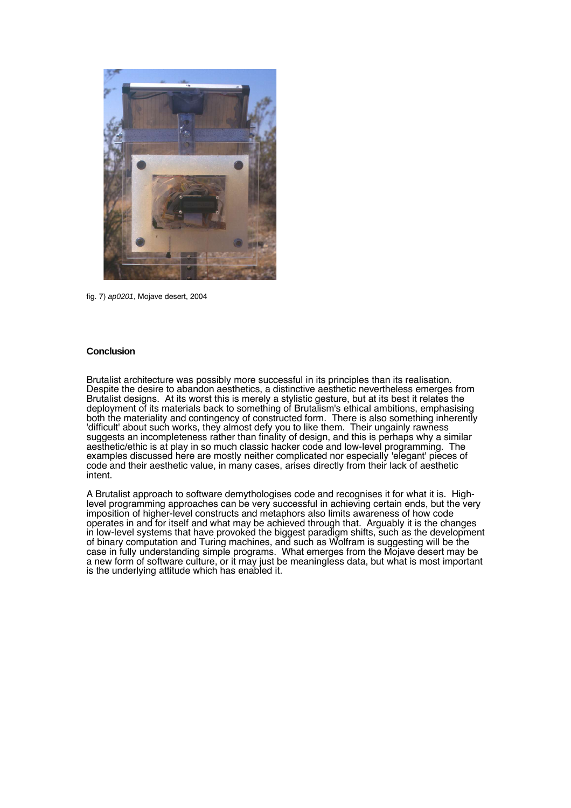

fig. 7) ap0201, Mojave desert, 2004

# **Conclusion**

Brutalist architecture was possibly more successful in its principles than its realisation. Despite the desire to abandon aesthetics, a distinctive aesthetic nevertheless emerges from Brutalist designs. At its worst this is merely a stylistic gesture, but at its best it relates the deployment of its materials back to something of Brutalism's ethical ambitions, emphasising both the materiality and contingency of constructed form. There is also something inherently 'difficult' about such works, they almost defy you to like them. Their ungainly rawness suggests an incompleteness rather than finality of design, and this is perhaps why a similar aesthetic/ethic is at play in so much classic hacker code and low-level programming. The examples discussed here are mostly neither complicated nor especially 'elegant' pieces of code and their aesthetic value, in many cases, arises directly from their lack of aesthetic intent.

A Brutalist approach to software demythologises code and recognises it for what it is. Highlevel programming approaches can be very successful in achieving certain ends, but the very imposition of higher-level constructs and metaphors also limits awareness of how code operates in and for itself and what may be achieved through that. Arguably it is the changes in low-level systems that have provoked the biggest paradigm shifts, such as the development of binary computation and Turing machines, and such as Wolfram is suggesting will be the case in fully understanding simple programs. What emerges from the Mojave desert may be a new form of software culture, or it may just be meaningless data, but what is most important is the underlying attitude which has enabled it.